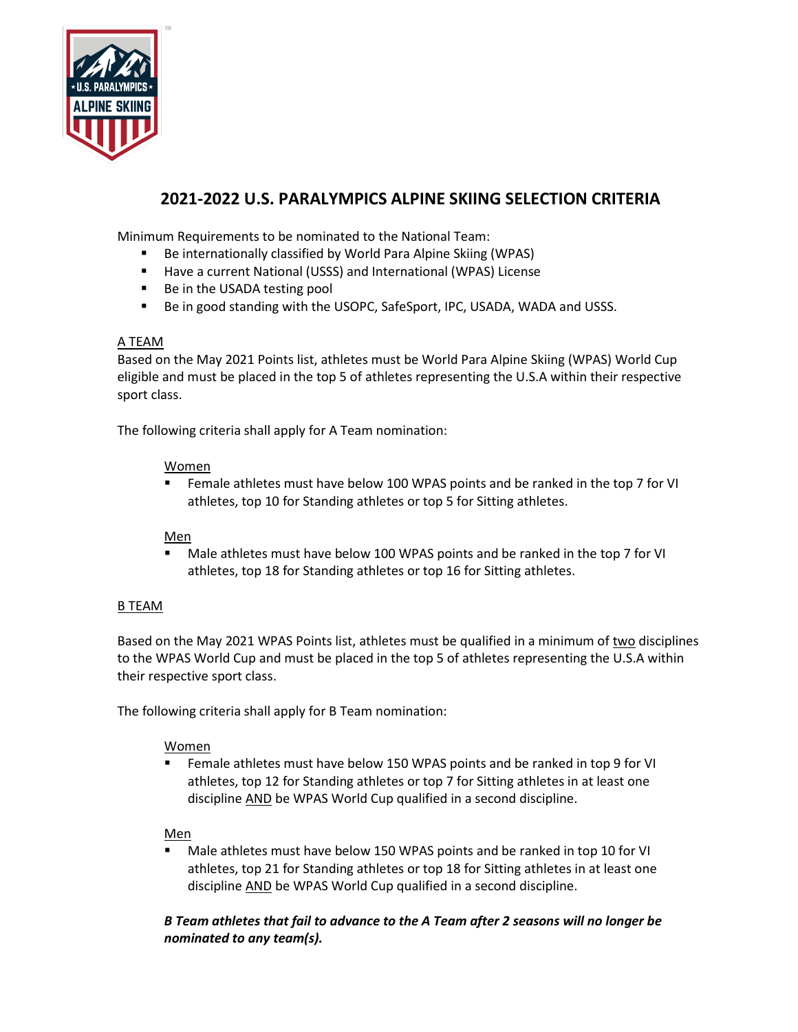

# **2021-2022 U.S. PARALYMPICS ALPINE SKIING SELECTION CRITERIA**

Minimum Requirements to be nominated to the National Team:

- Be internationally classified by World Para Alpine Skiing (WPAS)
- Have a current National (USSS) and International (WPAS) License
- Be in the USADA testing pool
- Be in good standing with the USOPC, SafeSport, IPC, USADA, WADA and USSS.

#### A TEAM

Based on the May 2021 Points list, athletes must be World Para Alpine Skiing (WPAS) World Cup eligible and must be placed in the top 5 of athletes representing the U.S.A within their respective sport class.

The following criteria shall apply for A Team nomination:

#### Women

■ Female athletes must have below 100 WPAS points and be ranked in the top 7 for VI athletes, top 10 for Standing athletes or top 5 for Sitting athletes.

### Men

■ Male athletes must have below 100 WPAS points and be ranked in the top 7 for VI athletes, top 18 for Standing athletes or top 16 for Sitting athletes.

### B TEAM

Based on the May 2021 WPAS Points list, athletes must be qualified in a minimum of two disciplines to the WPAS World Cup and must be placed in the top 5 of athletes representing the U.S.A within their respective sport class.

The following criteria shall apply for B Team nomination:

### Women

■ Female athletes must have below 150 WPAS points and be ranked in top 9 for VI athletes, top 12 for Standing athletes or top 7 for Sitting athletes in at least one discipline AND be WPAS World Cup qualified in a second discipline.

### Men

Male athletes must have below 150 WPAS points and be ranked in top 10 for VI athletes, top 21 for Standing athletes or top 18 for Sitting athletes in at least one discipline AND be WPAS World Cup qualified in a second discipline.

# *B Team athletes that fail to advance to the A Team after 2 seasons will no longer be nominated to any team(s).*